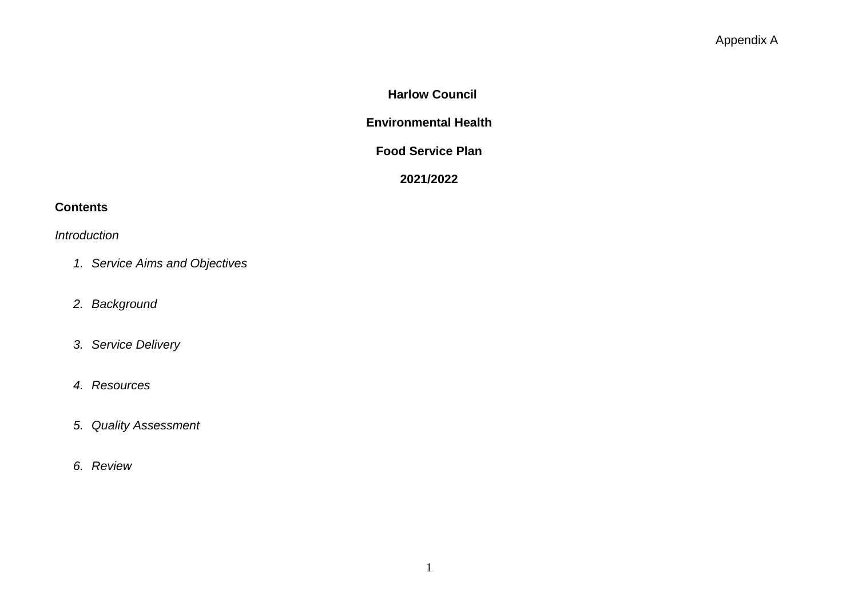# **Harlow Council**

# **Environmental Health**

#### **Food Service Plan**

# **2021/2022**

# **Contents**

*Introduction*

- *1. Service Aims and Objectives*
- *2. Background*
- *3. Service Delivery*
- *4. Resources*
- *5. Quality Assessment*
- *6. Review*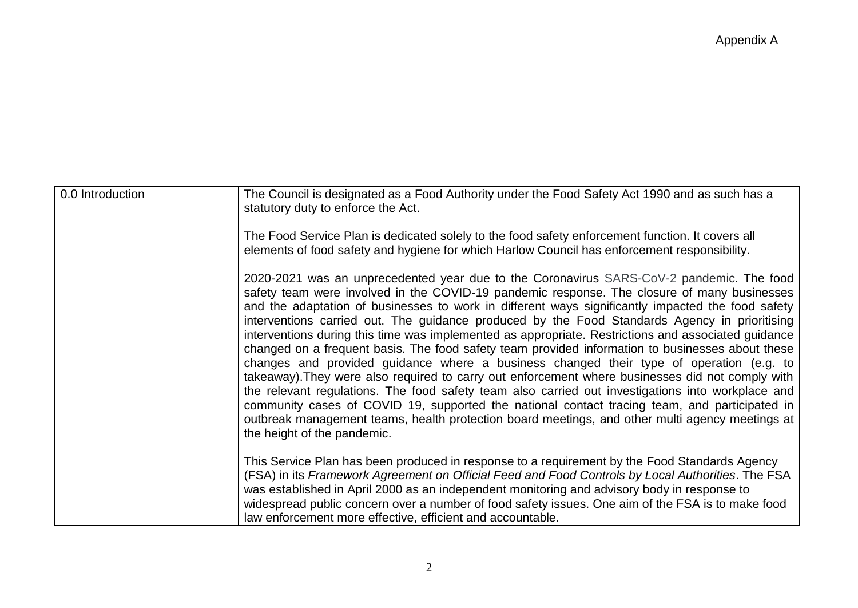| 0.0 Introduction | The Council is designated as a Food Authority under the Food Safety Act 1990 and as such has a<br>statutory duty to enforce the Act.                                                                                                                                                                                                                                                                                                                                                                                                                                                                                                                                                                                                                                                                                                                                                                                                                                                                                                                                                                                                            |
|------------------|-------------------------------------------------------------------------------------------------------------------------------------------------------------------------------------------------------------------------------------------------------------------------------------------------------------------------------------------------------------------------------------------------------------------------------------------------------------------------------------------------------------------------------------------------------------------------------------------------------------------------------------------------------------------------------------------------------------------------------------------------------------------------------------------------------------------------------------------------------------------------------------------------------------------------------------------------------------------------------------------------------------------------------------------------------------------------------------------------------------------------------------------------|
|                  | The Food Service Plan is dedicated solely to the food safety enforcement function. It covers all<br>elements of food safety and hygiene for which Harlow Council has enforcement responsibility.                                                                                                                                                                                                                                                                                                                                                                                                                                                                                                                                                                                                                                                                                                                                                                                                                                                                                                                                                |
|                  | 2020-2021 was an unprecedented year due to the Coronavirus SARS-CoV-2 pandemic. The food<br>safety team were involved in the COVID-19 pandemic response. The closure of many businesses<br>and the adaptation of businesses to work in different ways significantly impacted the food safety<br>interventions carried out. The guidance produced by the Food Standards Agency in prioritising<br>interventions during this time was implemented as appropriate. Restrictions and associated guidance<br>changed on a frequent basis. The food safety team provided information to businesses about these<br>changes and provided guidance where a business changed their type of operation (e.g. to<br>takeaway). They were also required to carry out enforcement where businesses did not comply with<br>the relevant regulations. The food safety team also carried out investigations into workplace and<br>community cases of COVID 19, supported the national contact tracing team, and participated in<br>outbreak management teams, health protection board meetings, and other multi agency meetings at<br>the height of the pandemic. |
|                  | This Service Plan has been produced in response to a requirement by the Food Standards Agency<br>(FSA) in its Framework Agreement on Official Feed and Food Controls by Local Authorities. The FSA<br>was established in April 2000 as an independent monitoring and advisory body in response to<br>widespread public concern over a number of food safety issues. One aim of the FSA is to make food<br>law enforcement more effective, efficient and accountable.                                                                                                                                                                                                                                                                                                                                                                                                                                                                                                                                                                                                                                                                            |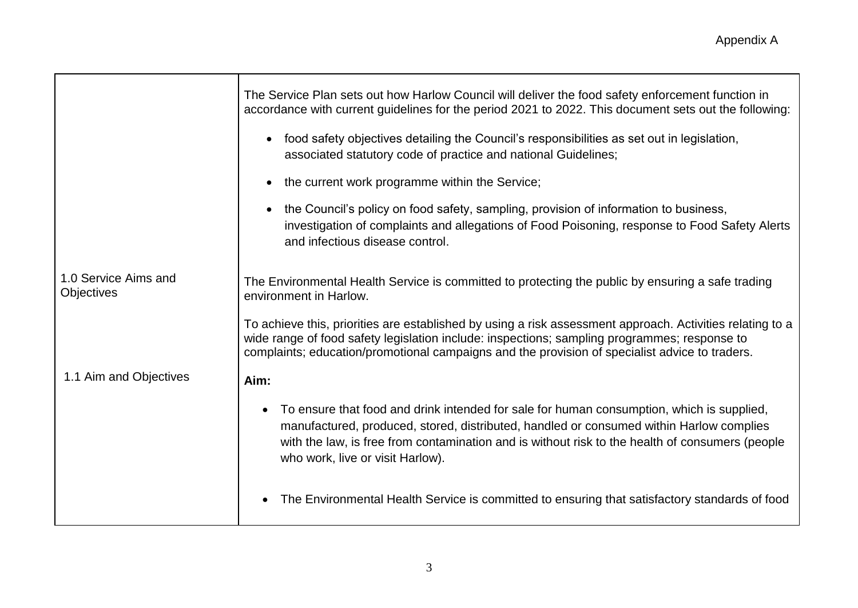|                                           | The Service Plan sets out how Harlow Council will deliver the food safety enforcement function in<br>accordance with current guidelines for the period 2021 to 2022. This document sets out the following:                                                                                                                  |  |  |  |
|-------------------------------------------|-----------------------------------------------------------------------------------------------------------------------------------------------------------------------------------------------------------------------------------------------------------------------------------------------------------------------------|--|--|--|
|                                           | food safety objectives detailing the Council's responsibilities as set out in legislation,<br>$\bullet$<br>associated statutory code of practice and national Guidelines;                                                                                                                                                   |  |  |  |
|                                           | the current work programme within the Service;<br>$\bullet$                                                                                                                                                                                                                                                                 |  |  |  |
|                                           | the Council's policy on food safety, sampling, provision of information to business,<br>$\bullet$<br>investigation of complaints and allegations of Food Poisoning, response to Food Safety Alerts<br>and infectious disease control.                                                                                       |  |  |  |
| 1.0 Service Aims and<br><b>Objectives</b> | The Environmental Health Service is committed to protecting the public by ensuring a safe trading<br>environment in Harlow.                                                                                                                                                                                                 |  |  |  |
|                                           | To achieve this, priorities are established by using a risk assessment approach. Activities relating to a<br>wide range of food safety legislation include: inspections; sampling programmes; response to<br>complaints; education/promotional campaigns and the provision of specialist advice to traders.                 |  |  |  |
| 1.1 Aim and Objectives                    | Aim:                                                                                                                                                                                                                                                                                                                        |  |  |  |
|                                           | To ensure that food and drink intended for sale for human consumption, which is supplied,<br>manufactured, produced, stored, distributed, handled or consumed within Harlow complies<br>with the law, is free from contamination and is without risk to the health of consumers (people<br>who work, live or visit Harlow). |  |  |  |
|                                           | The Environmental Health Service is committed to ensuring that satisfactory standards of food                                                                                                                                                                                                                               |  |  |  |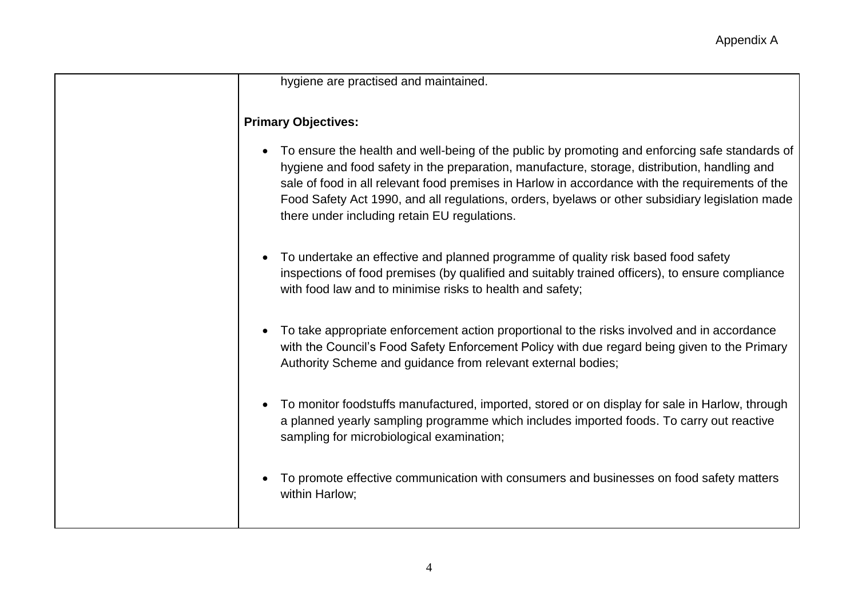#### hygiene are practised and maintained.

#### **Primary Objectives:**

- To ensure the health and well-being of the public by promoting and enforcing safe standards of hygiene and food safety in the preparation, manufacture, storage, distribution, handling and sale of food in all relevant food premises in Harlow in accordance with the requirements of the Food Safety Act 1990, and all regulations, orders, byelaws or other subsidiary legislation made there under including retain EU regulations.
- To undertake an effective and planned programme of quality risk based food safety inspections of food premises (by qualified and suitably trained officers), to ensure compliance with food law and to minimise risks to health and safety;
- To take appropriate enforcement action proportional to the risks involved and in accordance with the Council's Food Safety Enforcement Policy with due regard being given to the Primary Authority Scheme and guidance from relevant external bodies;
- To monitor foodstuffs manufactured, imported, stored or on display for sale in Harlow, through a planned yearly sampling programme which includes imported foods. To carry out reactive sampling for microbiological examination;
- To promote effective communication with consumers and businesses on food safety matters within Harlow;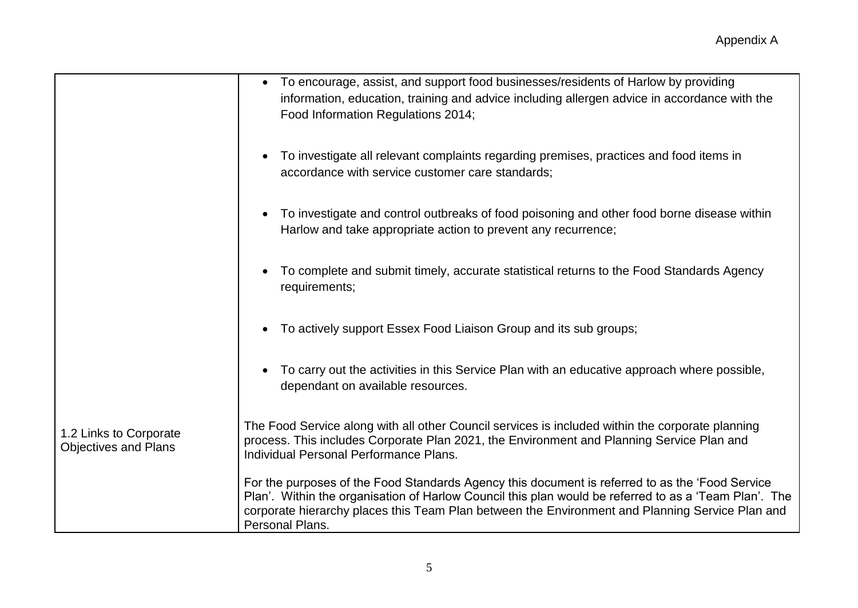|                                                       | To encourage, assist, and support food businesses/residents of Harlow by providing<br>$\bullet$<br>information, education, training and advice including allergen advice in accordance with the<br>Food Information Regulations 2014;                                                                                          |
|-------------------------------------------------------|--------------------------------------------------------------------------------------------------------------------------------------------------------------------------------------------------------------------------------------------------------------------------------------------------------------------------------|
|                                                       | To investigate all relevant complaints regarding premises, practices and food items in<br>$\bullet$<br>accordance with service customer care standards;                                                                                                                                                                        |
|                                                       | To investigate and control outbreaks of food poisoning and other food borne disease within<br>$\bullet$<br>Harlow and take appropriate action to prevent any recurrence;                                                                                                                                                       |
|                                                       | To complete and submit timely, accurate statistical returns to the Food Standards Agency<br>$\bullet$<br>requirements;                                                                                                                                                                                                         |
|                                                       | To actively support Essex Food Liaison Group and its sub groups;                                                                                                                                                                                                                                                               |
|                                                       | To carry out the activities in this Service Plan with an educative approach where possible,<br>$\bullet$<br>dependant on available resources.                                                                                                                                                                                  |
| 1.2 Links to Corporate<br><b>Objectives and Plans</b> | The Food Service along with all other Council services is included within the corporate planning<br>process. This includes Corporate Plan 2021, the Environment and Planning Service Plan and<br>Individual Personal Performance Plans.                                                                                        |
|                                                       | For the purposes of the Food Standards Agency this document is referred to as the 'Food Service<br>Plan'. Within the organisation of Harlow Council this plan would be referred to as a 'Team Plan'. The<br>corporate hierarchy places this Team Plan between the Environment and Planning Service Plan and<br>Personal Plans. |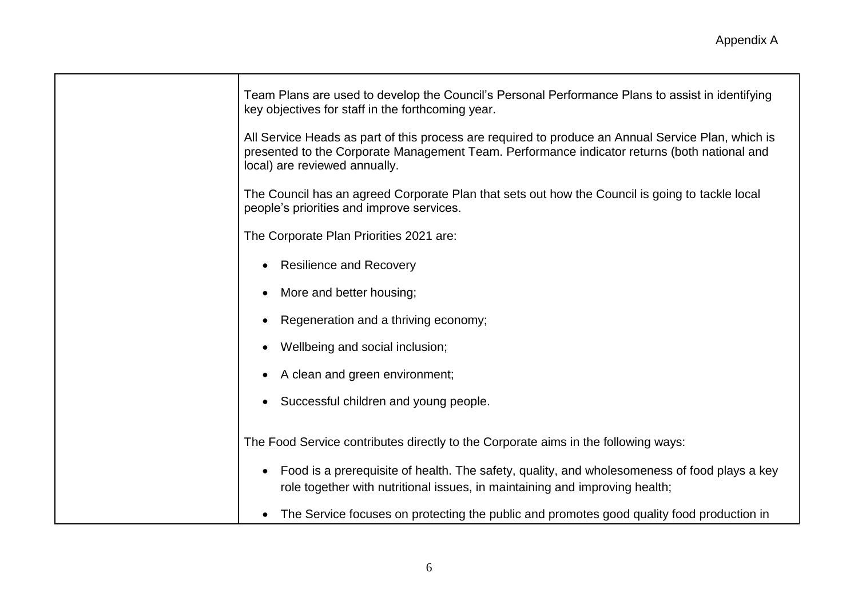| Team Plans are used to develop the Council's Personal Performance Plans to assist in identifying<br>key objectives for staff in the forthcoming year.                                                                               |
|-------------------------------------------------------------------------------------------------------------------------------------------------------------------------------------------------------------------------------------|
| All Service Heads as part of this process are required to produce an Annual Service Plan, which is<br>presented to the Corporate Management Team. Performance indicator returns (both national and<br>local) are reviewed annually. |
| The Council has an agreed Corporate Plan that sets out how the Council is going to tackle local<br>people's priorities and improve services.                                                                                        |
| The Corporate Plan Priorities 2021 are:                                                                                                                                                                                             |
| <b>Resilience and Recovery</b><br>$\bullet$                                                                                                                                                                                         |
| More and better housing;<br>$\bullet$                                                                                                                                                                                               |
| Regeneration and a thriving economy;<br>$\bullet$                                                                                                                                                                                   |
| Wellbeing and social inclusion;<br>$\bullet$                                                                                                                                                                                        |
| A clean and green environment;<br>$\bullet$                                                                                                                                                                                         |
| Successful children and young people.                                                                                                                                                                                               |
| The Food Service contributes directly to the Corporate aims in the following ways:                                                                                                                                                  |
| Food is a prerequisite of health. The safety, quality, and wholesomeness of food plays a key<br>$\bullet$<br>role together with nutritional issues, in maintaining and improving health;                                            |
| The Service focuses on protecting the public and promotes good quality food production in<br>$\bullet$                                                                                                                              |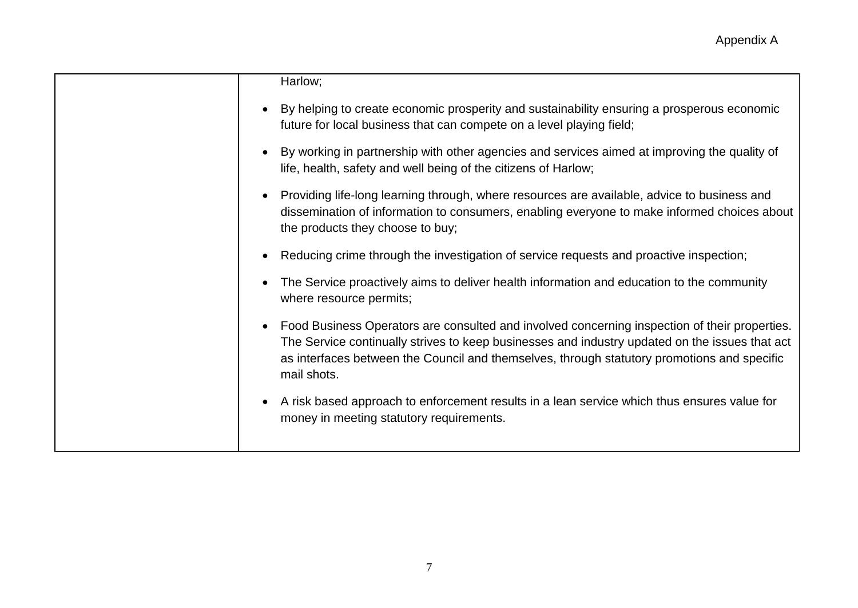| Harlow;                                                                                                                                                                                                                                                                                                       |
|---------------------------------------------------------------------------------------------------------------------------------------------------------------------------------------------------------------------------------------------------------------------------------------------------------------|
| By helping to create economic prosperity and sustainability ensuring a prosperous economic<br>future for local business that can compete on a level playing field;                                                                                                                                            |
| By working in partnership with other agencies and services aimed at improving the quality of<br>life, health, safety and well being of the citizens of Harlow;                                                                                                                                                |
| Providing life-long learning through, where resources are available, advice to business and<br>dissemination of information to consumers, enabling everyone to make informed choices about<br>the products they choose to buy;                                                                                |
| Reducing crime through the investigation of service requests and proactive inspection;                                                                                                                                                                                                                        |
| The Service proactively aims to deliver health information and education to the community<br>where resource permits;                                                                                                                                                                                          |
| Food Business Operators are consulted and involved concerning inspection of their properties.<br>The Service continually strives to keep businesses and industry updated on the issues that act<br>as interfaces between the Council and themselves, through statutory promotions and specific<br>mail shots. |
| A risk based approach to enforcement results in a lean service which thus ensures value for<br>money in meeting statutory requirements.                                                                                                                                                                       |
|                                                                                                                                                                                                                                                                                                               |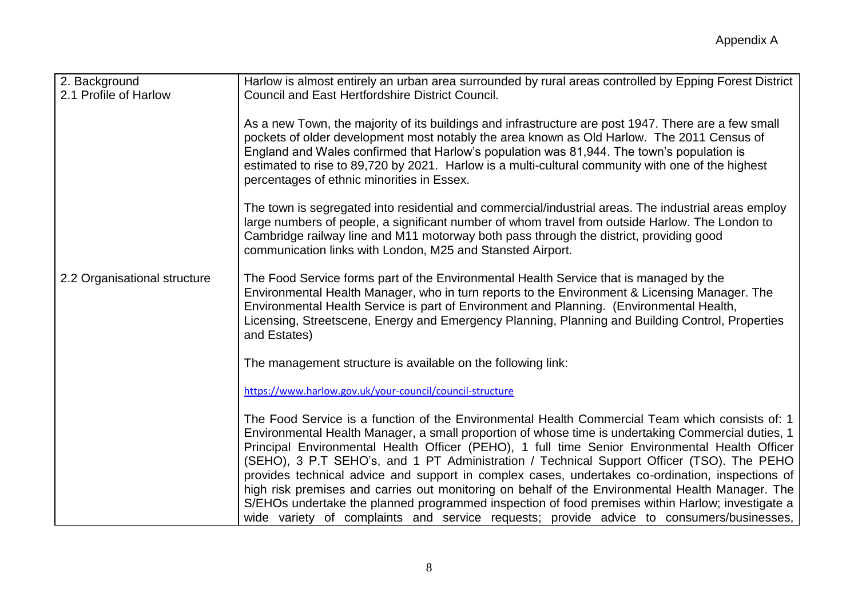| 2. Background<br>2.1 Profile of Harlow | Harlow is almost entirely an urban area surrounded by rural areas controlled by Epping Forest District<br><b>Council and East Hertfordshire District Council.</b>                                                                                                                                                                                                                                                                                                                                                                                                                                                                                                                                                                                                                                            |
|----------------------------------------|--------------------------------------------------------------------------------------------------------------------------------------------------------------------------------------------------------------------------------------------------------------------------------------------------------------------------------------------------------------------------------------------------------------------------------------------------------------------------------------------------------------------------------------------------------------------------------------------------------------------------------------------------------------------------------------------------------------------------------------------------------------------------------------------------------------|
|                                        | As a new Town, the majority of its buildings and infrastructure are post 1947. There are a few small<br>pockets of older development most notably the area known as Old Harlow. The 2011 Census of<br>England and Wales confirmed that Harlow's population was 81,944. The town's population is<br>estimated to rise to 89,720 by 2021. Harlow is a multi-cultural community with one of the highest<br>percentages of ethnic minorities in Essex.                                                                                                                                                                                                                                                                                                                                                           |
|                                        | The town is segregated into residential and commercial/industrial areas. The industrial areas employ<br>large numbers of people, a significant number of whom travel from outside Harlow. The London to<br>Cambridge railway line and M11 motorway both pass through the district, providing good<br>communication links with London, M25 and Stansted Airport.                                                                                                                                                                                                                                                                                                                                                                                                                                              |
| 2.2 Organisational structure           | The Food Service forms part of the Environmental Health Service that is managed by the<br>Environmental Health Manager, who in turn reports to the Environment & Licensing Manager. The<br>Environmental Health Service is part of Environment and Planning. (Environmental Health,<br>Licensing, Streetscene, Energy and Emergency Planning, Planning and Building Control, Properties<br>and Estates)                                                                                                                                                                                                                                                                                                                                                                                                      |
|                                        | The management structure is available on the following link:                                                                                                                                                                                                                                                                                                                                                                                                                                                                                                                                                                                                                                                                                                                                                 |
|                                        | https://www.harlow.gov.uk/your-council/council-structure                                                                                                                                                                                                                                                                                                                                                                                                                                                                                                                                                                                                                                                                                                                                                     |
|                                        | The Food Service is a function of the Environmental Health Commercial Team which consists of: 1<br>Environmental Health Manager, a small proportion of whose time is undertaking Commercial duties, 1<br>Principal Environmental Health Officer (PEHO), 1 full time Senior Environmental Health Officer<br>(SEHO), 3 P.T SEHO's, and 1 PT Administration / Technical Support Officer (TSO). The PEHO<br>provides technical advice and support in complex cases, undertakes co-ordination, inspections of<br>high risk premises and carries out monitoring on behalf of the Environmental Health Manager. The<br>S/EHOs undertake the planned programmed inspection of food premises within Harlow; investigate a<br>wide variety of complaints and service requests; provide advice to consumers/businesses, |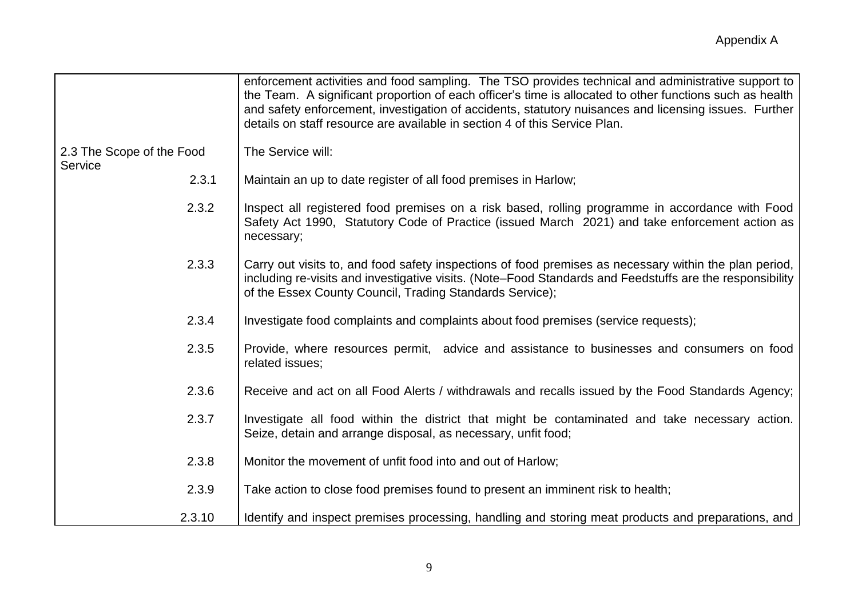|                                      | enforcement activities and food sampling. The TSO provides technical and administrative support to<br>the Team. A significant proportion of each officer's time is allocated to other functions such as health<br>and safety enforcement, investigation of accidents, statutory nuisances and licensing issues. Further<br>details on staff resource are available in section 4 of this Service Plan. |
|--------------------------------------|-------------------------------------------------------------------------------------------------------------------------------------------------------------------------------------------------------------------------------------------------------------------------------------------------------------------------------------------------------------------------------------------------------|
| 2.3 The Scope of the Food<br>Service | The Service will:                                                                                                                                                                                                                                                                                                                                                                                     |
| 2.3.1                                | Maintain an up to date register of all food premises in Harlow;                                                                                                                                                                                                                                                                                                                                       |
| 2.3.2                                | Inspect all registered food premises on a risk based, rolling programme in accordance with Food<br>Safety Act 1990, Statutory Code of Practice (issued March 2021) and take enforcement action as<br>necessary;                                                                                                                                                                                       |
| 2.3.3                                | Carry out visits to, and food safety inspections of food premises as necessary within the plan period,<br>including re-visits and investigative visits. (Note–Food Standards and Feedstuffs are the responsibility<br>of the Essex County Council, Trading Standards Service);                                                                                                                        |
| 2.3.4                                | Investigate food complaints and complaints about food premises (service requests);                                                                                                                                                                                                                                                                                                                    |
| 2.3.5                                | Provide, where resources permit, advice and assistance to businesses and consumers on food<br>related issues;                                                                                                                                                                                                                                                                                         |
| 2.3.6                                | Receive and act on all Food Alerts / withdrawals and recalls issued by the Food Standards Agency;                                                                                                                                                                                                                                                                                                     |
| 2.3.7                                | Investigate all food within the district that might be contaminated and take necessary action.<br>Seize, detain and arrange disposal, as necessary, unfit food;                                                                                                                                                                                                                                       |
| 2.3.8                                | Monitor the movement of unfit food into and out of Harlow;                                                                                                                                                                                                                                                                                                                                            |
| 2.3.9                                | Take action to close food premises found to present an imminent risk to health;                                                                                                                                                                                                                                                                                                                       |
| 2.3.10                               | Identify and inspect premises processing, handling and storing meat products and preparations, and                                                                                                                                                                                                                                                                                                    |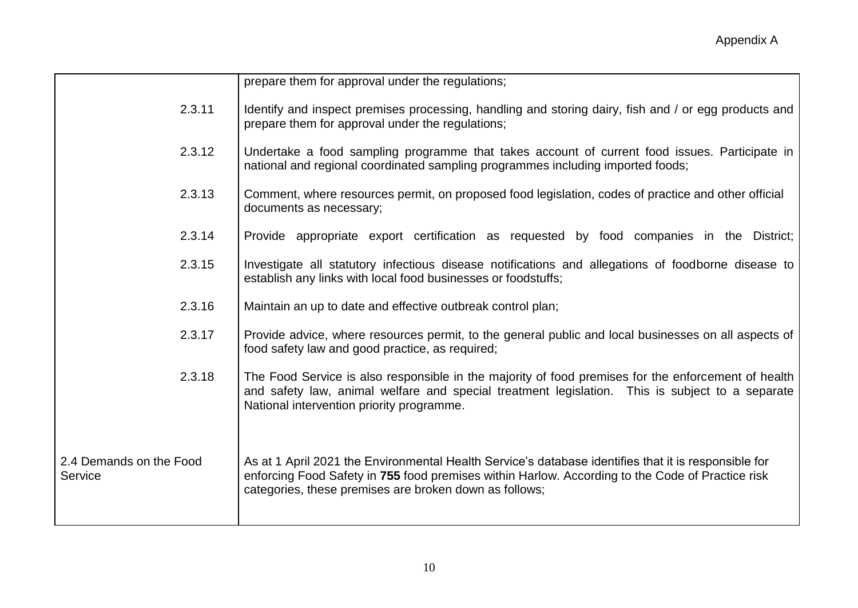|                                    | prepare them for approval under the regulations;                                                                                                                                                                                                                   |
|------------------------------------|--------------------------------------------------------------------------------------------------------------------------------------------------------------------------------------------------------------------------------------------------------------------|
| 2.3.11                             | Identify and inspect premises processing, handling and storing dairy, fish and / or egg products and<br>prepare them for approval under the regulations;                                                                                                           |
| 2.3.12                             | Undertake a food sampling programme that takes account of current food issues. Participate in<br>national and regional coordinated sampling programmes including imported foods;                                                                                   |
| 2.3.13                             | Comment, where resources permit, on proposed food legislation, codes of practice and other official<br>documents as necessary;                                                                                                                                     |
| 2.3.14                             | Provide appropriate export certification as requested by food companies in the District;                                                                                                                                                                           |
| 2.3.15                             | Investigate all statutory infectious disease notifications and allegations of foodborne disease to<br>establish any links with local food businesses or foodstuffs;                                                                                                |
| 2.3.16                             | Maintain an up to date and effective outbreak control plan;                                                                                                                                                                                                        |
| 2.3.17                             | Provide advice, where resources permit, to the general public and local businesses on all aspects of<br>food safety law and good practice, as required;                                                                                                            |
| 2.3.18                             | The Food Service is also responsible in the majority of food premises for the enforcement of health<br>and safety law, animal welfare and special treatment legislation. This is subject to a separate<br>National intervention priority programme.                |
| 2.4 Demands on the Food<br>Service | As at 1 April 2021 the Environmental Health Service's database identifies that it is responsible for<br>enforcing Food Safety in 755 food premises within Harlow. According to the Code of Practice risk<br>categories, these premises are broken down as follows; |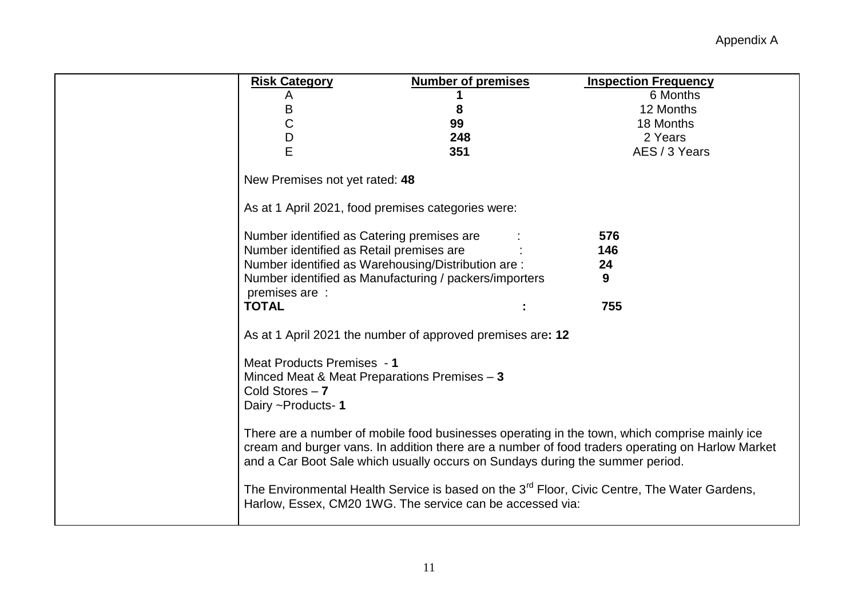| <b>Risk Category</b>                                                                   | <b>Number of premises</b> | <b>Inspection Frequency</b>                                                                                                                                                                       |
|----------------------------------------------------------------------------------------|---------------------------|---------------------------------------------------------------------------------------------------------------------------------------------------------------------------------------------------|
| A                                                                                      |                           | 6 Months                                                                                                                                                                                          |
| Β                                                                                      | 8                         | 12 Months                                                                                                                                                                                         |
| C                                                                                      | 99                        | 18 Months                                                                                                                                                                                         |
| D                                                                                      | 248                       | 2 Years                                                                                                                                                                                           |
| E                                                                                      | 351                       | AES / 3 Years                                                                                                                                                                                     |
| New Premises not yet rated: 48                                                         |                           |                                                                                                                                                                                                   |
| As at 1 April 2021, food premises categories were:                                     |                           |                                                                                                                                                                                                   |
| Number identified as Catering premises are<br>Number identified as Retail premises are |                           | 576<br>146                                                                                                                                                                                        |
| Number identified as Warehousing/Distribution are:                                     |                           | 24                                                                                                                                                                                                |
| Number identified as Manufacturing / packers/importers                                 |                           | 9                                                                                                                                                                                                 |
| premises are:                                                                          |                           |                                                                                                                                                                                                   |
| <b>TOTAL</b>                                                                           |                           | 755                                                                                                                                                                                               |
| As at 1 April 2021 the number of approved premises are: 12                             |                           |                                                                                                                                                                                                   |
| Meat Products Premises - 1                                                             |                           |                                                                                                                                                                                                   |
| Minced Meat & Meat Preparations Premises - 3                                           |                           |                                                                                                                                                                                                   |
| Cold Stores $-7$                                                                       |                           |                                                                                                                                                                                                   |
| Dairy ~Products-1                                                                      |                           |                                                                                                                                                                                                   |
| and a Car Boot Sale which usually occurs on Sundays during the summer period.          |                           | There are a number of mobile food businesses operating in the town, which comprise mainly ice<br>cream and burger vans. In addition there are a number of food traders operating on Harlow Market |
| Harlow, Essex, CM20 1WG. The service can be accessed via:                              |                           | The Environmental Health Service is based on the 3 <sup>rd</sup> Floor, Civic Centre, The Water Gardens,                                                                                          |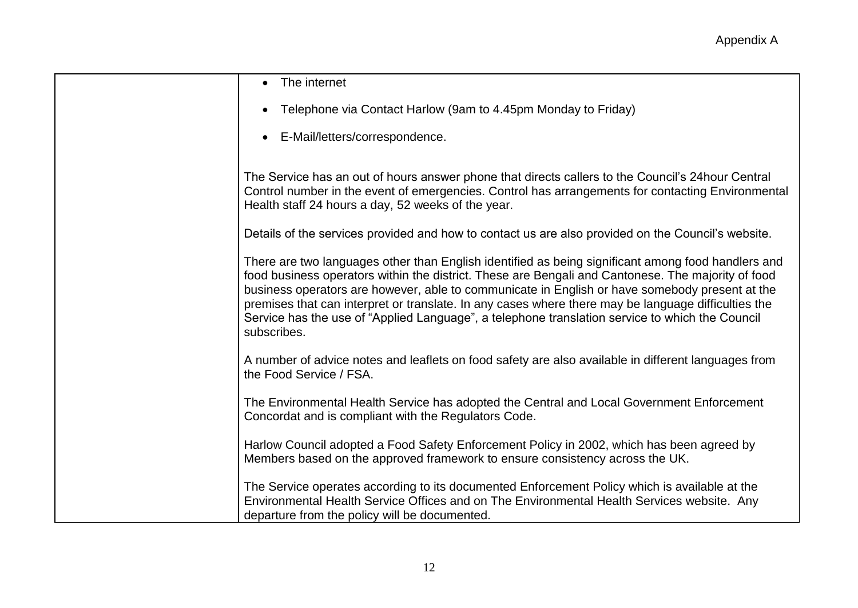| The internet                                                                                                                                                                                                                                                                                                                                                                                                                                                                                                                        |
|-------------------------------------------------------------------------------------------------------------------------------------------------------------------------------------------------------------------------------------------------------------------------------------------------------------------------------------------------------------------------------------------------------------------------------------------------------------------------------------------------------------------------------------|
| Telephone via Contact Harlow (9am to 4.45pm Monday to Friday)                                                                                                                                                                                                                                                                                                                                                                                                                                                                       |
| E-Mail/letters/correspondence.                                                                                                                                                                                                                                                                                                                                                                                                                                                                                                      |
| The Service has an out of hours answer phone that directs callers to the Council's 24 hour Central<br>Control number in the event of emergencies. Control has arrangements for contacting Environmental<br>Health staff 24 hours a day, 52 weeks of the year.                                                                                                                                                                                                                                                                       |
| Details of the services provided and how to contact us are also provided on the Council's website.                                                                                                                                                                                                                                                                                                                                                                                                                                  |
| There are two languages other than English identified as being significant among food handlers and<br>food business operators within the district. These are Bengali and Cantonese. The majority of food<br>business operators are however, able to communicate in English or have somebody present at the<br>premises that can interpret or translate. In any cases where there may be language difficulties the<br>Service has the use of "Applied Language", a telephone translation service to which the Council<br>subscribes. |
| A number of advice notes and leaflets on food safety are also available in different languages from<br>the Food Service / FSA.                                                                                                                                                                                                                                                                                                                                                                                                      |
| The Environmental Health Service has adopted the Central and Local Government Enforcement<br>Concordat and is compliant with the Regulators Code.                                                                                                                                                                                                                                                                                                                                                                                   |
| Harlow Council adopted a Food Safety Enforcement Policy in 2002, which has been agreed by<br>Members based on the approved framework to ensure consistency across the UK.                                                                                                                                                                                                                                                                                                                                                           |
| The Service operates according to its documented Enforcement Policy which is available at the<br>Environmental Health Service Offices and on The Environmental Health Services website. Any<br>departure from the policy will be documented.                                                                                                                                                                                                                                                                                        |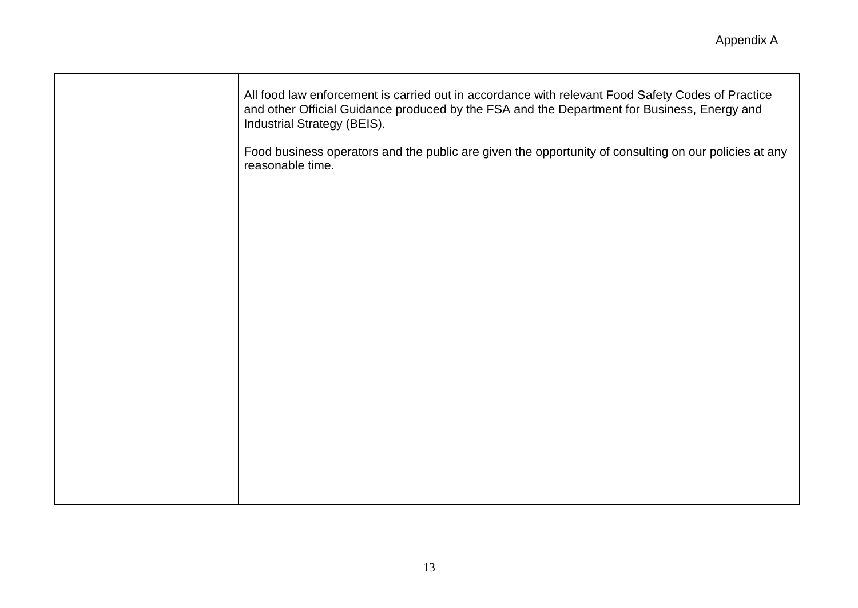| All food law enforcement is carried out in accordance with relevant Food Safety Codes of Practice<br>and other Official Guidance produced by the FSA and the Department for Business, Energy and<br>Industrial Strategy (BEIS). |
|---------------------------------------------------------------------------------------------------------------------------------------------------------------------------------------------------------------------------------|
| Food business operators and the public are given the opportunity of consulting on our policies at any<br>reasonable time.                                                                                                       |
|                                                                                                                                                                                                                                 |
|                                                                                                                                                                                                                                 |
|                                                                                                                                                                                                                                 |
|                                                                                                                                                                                                                                 |
|                                                                                                                                                                                                                                 |
|                                                                                                                                                                                                                                 |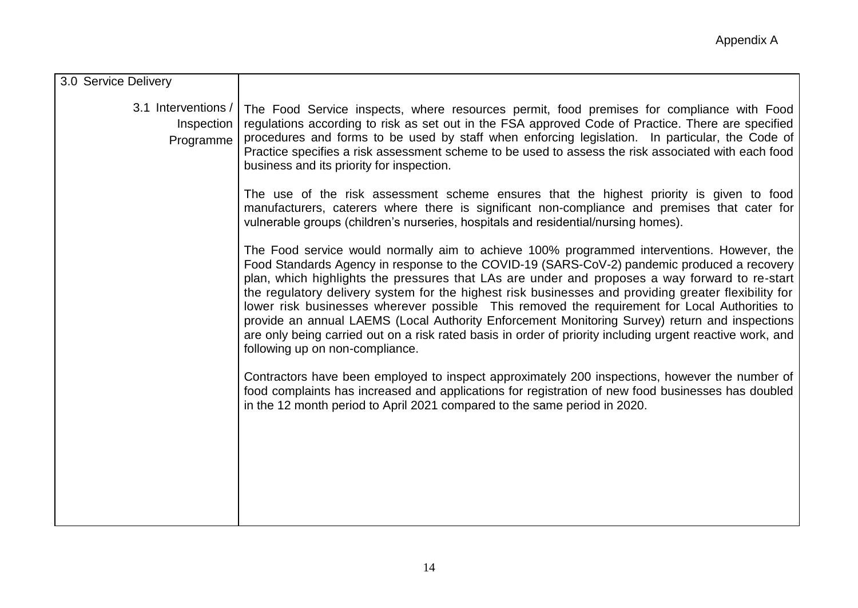| 3.0 Service Delivery                           |                                                                                                                                                                                                                                                                                                                                                                                                                                                                                                                                                                                                                                                                                                                                                        |
|------------------------------------------------|--------------------------------------------------------------------------------------------------------------------------------------------------------------------------------------------------------------------------------------------------------------------------------------------------------------------------------------------------------------------------------------------------------------------------------------------------------------------------------------------------------------------------------------------------------------------------------------------------------------------------------------------------------------------------------------------------------------------------------------------------------|
| 3.1 Interventions /<br>Inspection<br>Programme | The Food Service inspects, where resources permit, food premises for compliance with Food<br>regulations according to risk as set out in the FSA approved Code of Practice. There are specified<br>procedures and forms to be used by staff when enforcing legislation. In particular, the Code of<br>Practice specifies a risk assessment scheme to be used to assess the risk associated with each food<br>business and its priority for inspection.                                                                                                                                                                                                                                                                                                 |
|                                                | The use of the risk assessment scheme ensures that the highest priority is given to food<br>manufacturers, caterers where there is significant non-compliance and premises that cater for<br>vulnerable groups (children's nurseries, hospitals and residential/nursing homes).                                                                                                                                                                                                                                                                                                                                                                                                                                                                        |
|                                                | The Food service would normally aim to achieve 100% programmed interventions. However, the<br>Food Standards Agency in response to the COVID-19 (SARS-CoV-2) pandemic produced a recovery<br>plan, which highlights the pressures that LAs are under and proposes a way forward to re-start<br>the regulatory delivery system for the highest risk businesses and providing greater flexibility for<br>lower risk businesses wherever possible This removed the requirement for Local Authorities to<br>provide an annual LAEMS (Local Authority Enforcement Monitoring Survey) return and inspections<br>are only being carried out on a risk rated basis in order of priority including urgent reactive work, and<br>following up on non-compliance. |
|                                                | Contractors have been employed to inspect approximately 200 inspections, however the number of<br>food complaints has increased and applications for registration of new food businesses has doubled<br>in the 12 month period to April 2021 compared to the same period in 2020.                                                                                                                                                                                                                                                                                                                                                                                                                                                                      |
|                                                |                                                                                                                                                                                                                                                                                                                                                                                                                                                                                                                                                                                                                                                                                                                                                        |
|                                                |                                                                                                                                                                                                                                                                                                                                                                                                                                                                                                                                                                                                                                                                                                                                                        |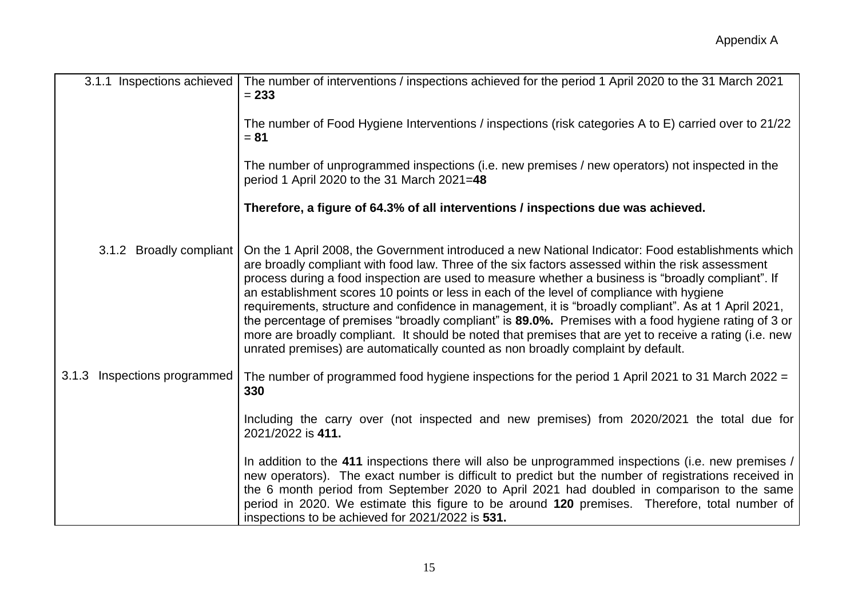| 3.1.1 Inspections achieved   | The number of interventions / inspections achieved for the period 1 April 2020 to the 31 March 2021<br>$= 233$                                                                                                                                                                                                                                                                                                                                                                                                                                                                                                                                                                                                                                                                                                            |
|------------------------------|---------------------------------------------------------------------------------------------------------------------------------------------------------------------------------------------------------------------------------------------------------------------------------------------------------------------------------------------------------------------------------------------------------------------------------------------------------------------------------------------------------------------------------------------------------------------------------------------------------------------------------------------------------------------------------------------------------------------------------------------------------------------------------------------------------------------------|
|                              | The number of Food Hygiene Interventions / inspections (risk categories A to E) carried over to 21/22<br>$= 81$                                                                                                                                                                                                                                                                                                                                                                                                                                                                                                                                                                                                                                                                                                           |
|                              | The number of unprogrammed inspections (i.e. new premises / new operators) not inspected in the<br>period 1 April 2020 to the 31 March 2021=48                                                                                                                                                                                                                                                                                                                                                                                                                                                                                                                                                                                                                                                                            |
|                              | Therefore, a figure of 64.3% of all interventions / inspections due was achieved.                                                                                                                                                                                                                                                                                                                                                                                                                                                                                                                                                                                                                                                                                                                                         |
| 3.1.2 Broadly compliant      | On the 1 April 2008, the Government introduced a new National Indicator: Food establishments which<br>are broadly compliant with food law. Three of the six factors assessed within the risk assessment<br>process during a food inspection are used to measure whether a business is "broadly compliant". If<br>an establishment scores 10 points or less in each of the level of compliance with hygiene<br>requirements, structure and confidence in management, it is "broadly compliant". As at 1 April 2021,<br>the percentage of premises "broadly compliant" is 89.0%. Premises with a food hygiene rating of 3 or<br>more are broadly compliant. It should be noted that premises that are yet to receive a rating (i.e. new<br>unrated premises) are automatically counted as non broadly complaint by default. |
| 3.1.3 Inspections programmed | The number of programmed food hygiene inspections for the period 1 April 2021 to 31 March 2022 =<br>330                                                                                                                                                                                                                                                                                                                                                                                                                                                                                                                                                                                                                                                                                                                   |
|                              | Including the carry over (not inspected and new premises) from 2020/2021 the total due for<br>2021/2022 is 411.                                                                                                                                                                                                                                                                                                                                                                                                                                                                                                                                                                                                                                                                                                           |
|                              | In addition to the 411 inspections there will also be unprogrammed inspections (i.e. new premises /<br>new operators). The exact number is difficult to predict but the number of registrations received in<br>the 6 month period from September 2020 to April 2021 had doubled in comparison to the same<br>period in 2020. We estimate this figure to be around 120 premises. Therefore, total number of<br>inspections to be achieved for 2021/2022 is 531.                                                                                                                                                                                                                                                                                                                                                            |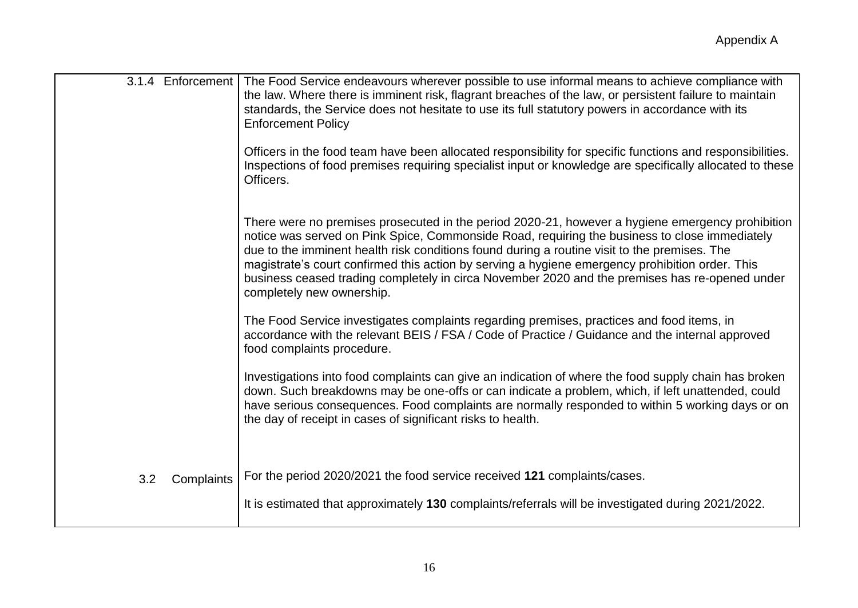| 3.1.4 Enforcement | The Food Service endeavours wherever possible to use informal means to achieve compliance with<br>the law. Where there is imminent risk, flagrant breaches of the law, or persistent failure to maintain<br>standards, the Service does not hesitate to use its full statutory powers in accordance with its<br><b>Enforcement Policy</b>                                                                                                                                                                                           |
|-------------------|-------------------------------------------------------------------------------------------------------------------------------------------------------------------------------------------------------------------------------------------------------------------------------------------------------------------------------------------------------------------------------------------------------------------------------------------------------------------------------------------------------------------------------------|
|                   | Officers in the food team have been allocated responsibility for specific functions and responsibilities.<br>Inspections of food premises requiring specialist input or knowledge are specifically allocated to these<br>Officers.                                                                                                                                                                                                                                                                                                  |
|                   | There were no premises prosecuted in the period 2020-21, however a hygiene emergency prohibition<br>notice was served on Pink Spice, Commonside Road, requiring the business to close immediately<br>due to the imminent health risk conditions found during a routine visit to the premises. The<br>magistrate's court confirmed this action by serving a hygiene emergency prohibition order. This<br>business ceased trading completely in circa November 2020 and the premises has re-opened under<br>completely new ownership. |
|                   | The Food Service investigates complaints regarding premises, practices and food items, in<br>accordance with the relevant BEIS / FSA / Code of Practice / Guidance and the internal approved<br>food complaints procedure.                                                                                                                                                                                                                                                                                                          |
|                   | Investigations into food complaints can give an indication of where the food supply chain has broken<br>down. Such breakdowns may be one-offs or can indicate a problem, which, if left unattended, could<br>have serious consequences. Food complaints are normally responded to within 5 working days or on<br>the day of receipt in cases of significant risks to health.                                                                                                                                                        |
| 3.2<br>Complaints | For the period 2020/2021 the food service received 121 complaints/cases.<br>It is estimated that approximately 130 complaints/referrals will be investigated during 2021/2022.                                                                                                                                                                                                                                                                                                                                                      |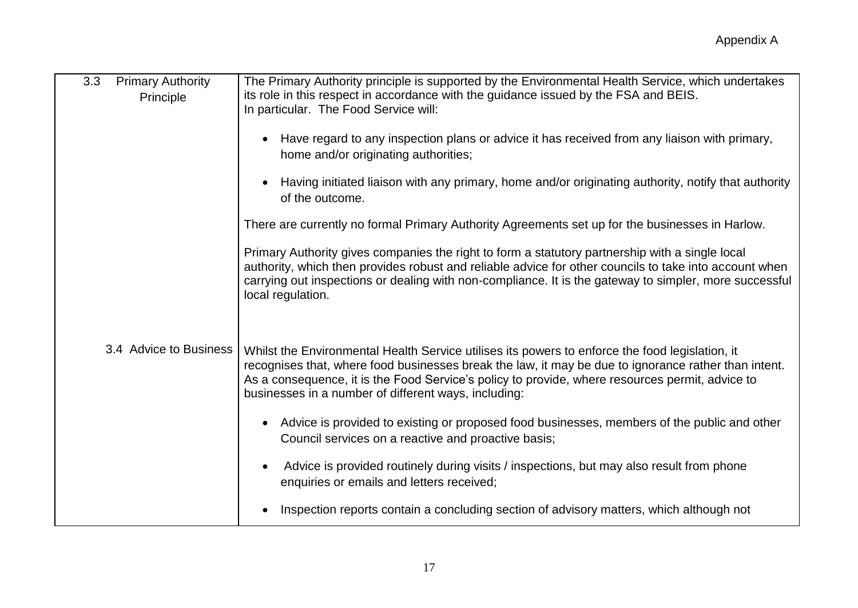| <b>Primary Authority</b><br>3.3<br>Principle | The Primary Authority principle is supported by the Environmental Health Service, which undertakes<br>its role in this respect in accordance with the guidance issued by the FSA and BEIS.<br>In particular. The Food Service will:                                                                                                                                |
|----------------------------------------------|--------------------------------------------------------------------------------------------------------------------------------------------------------------------------------------------------------------------------------------------------------------------------------------------------------------------------------------------------------------------|
|                                              | Have regard to any inspection plans or advice it has received from any liaison with primary,<br>home and/or originating authorities;                                                                                                                                                                                                                               |
|                                              | Having initiated liaison with any primary, home and/or originating authority, notify that authority<br>of the outcome.                                                                                                                                                                                                                                             |
|                                              | There are currently no formal Primary Authority Agreements set up for the businesses in Harlow.                                                                                                                                                                                                                                                                    |
|                                              | Primary Authority gives companies the right to form a statutory partnership with a single local<br>authority, which then provides robust and reliable advice for other councils to take into account when<br>carrying out inspections or dealing with non-compliance. It is the gateway to simpler, more successful<br>local regulation.                           |
| 3.4 Advice to Business                       | Whilst the Environmental Health Service utilises its powers to enforce the food legislation, it<br>recognises that, where food businesses break the law, it may be due to ignorance rather than intent.<br>As a consequence, it is the Food Service's policy to provide, where resources permit, advice to<br>businesses in a number of different ways, including: |
|                                              | Advice is provided to existing or proposed food businesses, members of the public and other<br>$\bullet$<br>Council services on a reactive and proactive basis;                                                                                                                                                                                                    |
|                                              | Advice is provided routinely during visits / inspections, but may also result from phone<br>enquiries or emails and letters received;                                                                                                                                                                                                                              |
|                                              | Inspection reports contain a concluding section of advisory matters, which although not                                                                                                                                                                                                                                                                            |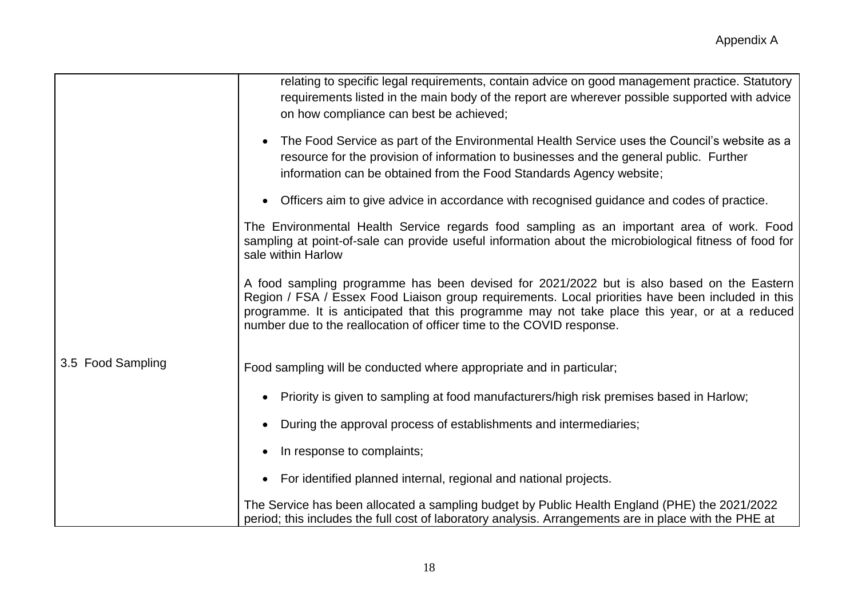|                   | relating to specific legal requirements, contain advice on good management practice. Statutory<br>requirements listed in the main body of the report are wherever possible supported with advice<br>on how compliance can best be achieved;                                                                                                                               |
|-------------------|---------------------------------------------------------------------------------------------------------------------------------------------------------------------------------------------------------------------------------------------------------------------------------------------------------------------------------------------------------------------------|
|                   | The Food Service as part of the Environmental Health Service uses the Council's website as a<br>resource for the provision of information to businesses and the general public. Further<br>information can be obtained from the Food Standards Agency website;                                                                                                            |
|                   | Officers aim to give advice in accordance with recognised guidance and codes of practice.                                                                                                                                                                                                                                                                                 |
|                   | The Environmental Health Service regards food sampling as an important area of work. Food<br>sampling at point-of-sale can provide useful information about the microbiological fitness of food for<br>sale within Harlow                                                                                                                                                 |
|                   | A food sampling programme has been devised for 2021/2022 but is also based on the Eastern<br>Region / FSA / Essex Food Liaison group requirements. Local priorities have been included in this<br>programme. It is anticipated that this programme may not take place this year, or at a reduced<br>number due to the reallocation of officer time to the COVID response. |
| 3.5 Food Sampling | Food sampling will be conducted where appropriate and in particular;                                                                                                                                                                                                                                                                                                      |
|                   | Priority is given to sampling at food manufacturers/high risk premises based in Harlow;                                                                                                                                                                                                                                                                                   |
|                   | During the approval process of establishments and intermediaries;                                                                                                                                                                                                                                                                                                         |
|                   | In response to complaints;                                                                                                                                                                                                                                                                                                                                                |
|                   | For identified planned internal, regional and national projects.<br>$\bullet$                                                                                                                                                                                                                                                                                             |
|                   | The Service has been allocated a sampling budget by Public Health England (PHE) the 2021/2022<br>period; this includes the full cost of laboratory analysis. Arrangements are in place with the PHE at                                                                                                                                                                    |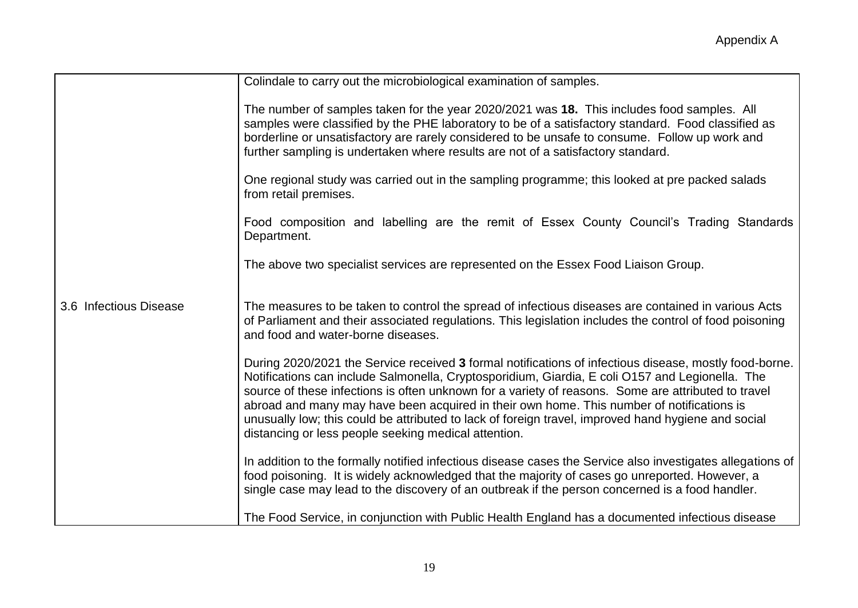|                        | Colindale to carry out the microbiological examination of samples.                                                                                                                                                                                                                                                                                                                                                                                                                                                                                                           |
|------------------------|------------------------------------------------------------------------------------------------------------------------------------------------------------------------------------------------------------------------------------------------------------------------------------------------------------------------------------------------------------------------------------------------------------------------------------------------------------------------------------------------------------------------------------------------------------------------------|
|                        | The number of samples taken for the year 2020/2021 was 18. This includes food samples. All<br>samples were classified by the PHE laboratory to be of a satisfactory standard. Food classified as<br>borderline or unsatisfactory are rarely considered to be unsafe to consume. Follow up work and<br>further sampling is undertaken where results are not of a satisfactory standard.                                                                                                                                                                                       |
|                        | One regional study was carried out in the sampling programme; this looked at pre packed salads<br>from retail premises.                                                                                                                                                                                                                                                                                                                                                                                                                                                      |
|                        | Food composition and labelling are the remit of Essex County Council's Trading Standards<br>Department.                                                                                                                                                                                                                                                                                                                                                                                                                                                                      |
|                        | The above two specialist services are represented on the Essex Food Liaison Group.                                                                                                                                                                                                                                                                                                                                                                                                                                                                                           |
| 3.6 Infectious Disease | The measures to be taken to control the spread of infectious diseases are contained in various Acts<br>of Parliament and their associated regulations. This legislation includes the control of food poisoning<br>and food and water-borne diseases.                                                                                                                                                                                                                                                                                                                         |
|                        | During 2020/2021 the Service received 3 formal notifications of infectious disease, mostly food-borne.<br>Notifications can include Salmonella, Cryptosporidium, Giardia, E coli O157 and Legionella. The<br>source of these infections is often unknown for a variety of reasons. Some are attributed to travel<br>abroad and many may have been acquired in their own home. This number of notifications is<br>unusually low; this could be attributed to lack of foreign travel, improved hand hygiene and social<br>distancing or less people seeking medical attention. |
|                        | In addition to the formally notified infectious disease cases the Service also investigates allegations of<br>food poisoning. It is widely acknowledged that the majority of cases go unreported. However, a<br>single case may lead to the discovery of an outbreak if the person concerned is a food handler.                                                                                                                                                                                                                                                              |
|                        | The Food Service, in conjunction with Public Health England has a documented infectious disease                                                                                                                                                                                                                                                                                                                                                                                                                                                                              |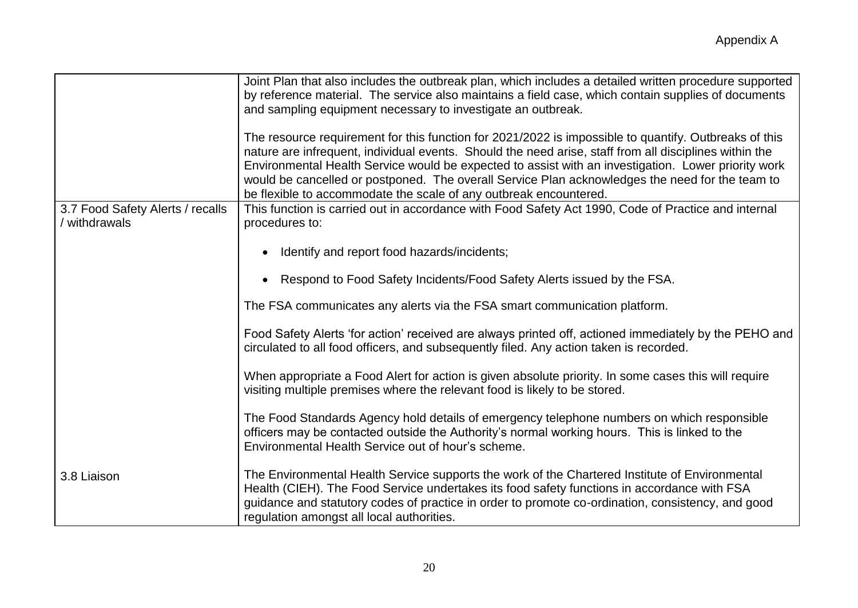|                                                 | Joint Plan that also includes the outbreak plan, which includes a detailed written procedure supported<br>by reference material. The service also maintains a field case, which contain supplies of documents<br>and sampling equipment necessary to investigate an outbreak.<br>The resource requirement for this function for 2021/2022 is impossible to quantify. Outbreaks of this |
|-------------------------------------------------|----------------------------------------------------------------------------------------------------------------------------------------------------------------------------------------------------------------------------------------------------------------------------------------------------------------------------------------------------------------------------------------|
|                                                 | nature are infrequent, individual events. Should the need arise, staff from all disciplines within the<br>Environmental Health Service would be expected to assist with an investigation. Lower priority work<br>would be cancelled or postponed. The overall Service Plan acknowledges the need for the team to<br>be flexible to accommodate the scale of any outbreak encountered.  |
| 3.7 Food Safety Alerts / recalls<br>withdrawals | This function is carried out in accordance with Food Safety Act 1990, Code of Practice and internal<br>procedures to:                                                                                                                                                                                                                                                                  |
|                                                 | Identify and report food hazards/incidents;                                                                                                                                                                                                                                                                                                                                            |
|                                                 | Respond to Food Safety Incidents/Food Safety Alerts issued by the FSA.                                                                                                                                                                                                                                                                                                                 |
|                                                 | The FSA communicates any alerts via the FSA smart communication platform.                                                                                                                                                                                                                                                                                                              |
|                                                 | Food Safety Alerts 'for action' received are always printed off, actioned immediately by the PEHO and<br>circulated to all food officers, and subsequently filed. Any action taken is recorded.                                                                                                                                                                                        |
|                                                 | When appropriate a Food Alert for action is given absolute priority. In some cases this will require<br>visiting multiple premises where the relevant food is likely to be stored.                                                                                                                                                                                                     |
|                                                 | The Food Standards Agency hold details of emergency telephone numbers on which responsible<br>officers may be contacted outside the Authority's normal working hours. This is linked to the<br>Environmental Health Service out of hour's scheme.                                                                                                                                      |
| 3.8 Liaison                                     | The Environmental Health Service supports the work of the Chartered Institute of Environmental<br>Health (CIEH). The Food Service undertakes its food safety functions in accordance with FSA<br>guidance and statutory codes of practice in order to promote co-ordination, consistency, and good<br>regulation amongst all local authorities.                                        |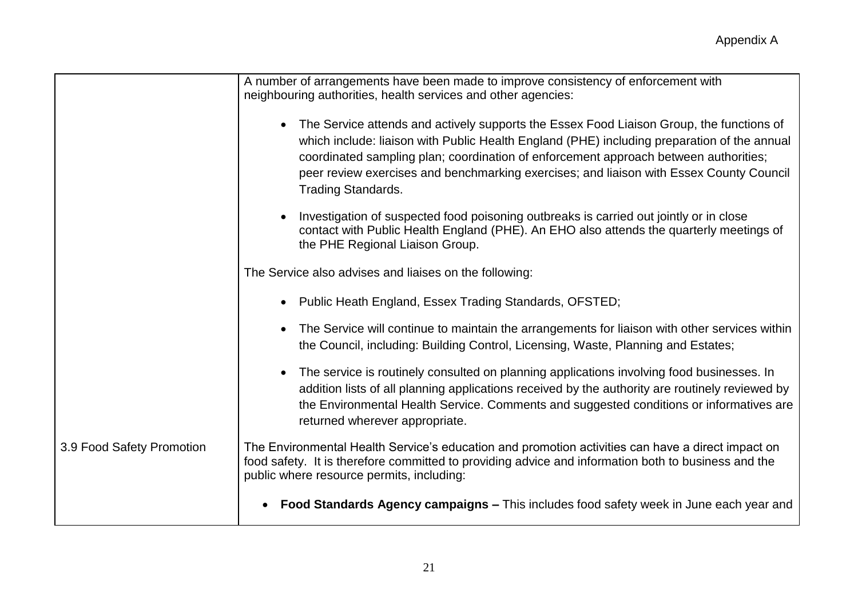|                           | A number of arrangements have been made to improve consistency of enforcement with<br>neighbouring authorities, health services and other agencies:                                                                                                                                                                                                                                                       |
|---------------------------|-----------------------------------------------------------------------------------------------------------------------------------------------------------------------------------------------------------------------------------------------------------------------------------------------------------------------------------------------------------------------------------------------------------|
|                           | • The Service attends and actively supports the Essex Food Liaison Group, the functions of<br>which include: liaison with Public Health England (PHE) including preparation of the annual<br>coordinated sampling plan; coordination of enforcement approach between authorities;<br>peer review exercises and benchmarking exercises; and liaison with Essex County Council<br><b>Trading Standards.</b> |
|                           | Investigation of suspected food poisoning outbreaks is carried out jointly or in close<br>contact with Public Health England (PHE). An EHO also attends the quarterly meetings of<br>the PHE Regional Liaison Group.                                                                                                                                                                                      |
|                           | The Service also advises and liaises on the following:                                                                                                                                                                                                                                                                                                                                                    |
|                           | • Public Heath England, Essex Trading Standards, OFSTED;                                                                                                                                                                                                                                                                                                                                                  |
|                           | The Service will continue to maintain the arrangements for liaison with other services within<br>the Council, including: Building Control, Licensing, Waste, Planning and Estates;                                                                                                                                                                                                                        |
|                           | The service is routinely consulted on planning applications involving food businesses. In<br>addition lists of all planning applications received by the authority are routinely reviewed by<br>the Environmental Health Service. Comments and suggested conditions or informatives are<br>returned wherever appropriate.                                                                                 |
| 3.9 Food Safety Promotion | The Environmental Health Service's education and promotion activities can have a direct impact on<br>food safety. It is therefore committed to providing advice and information both to business and the<br>public where resource permits, including:                                                                                                                                                     |
|                           | Food Standards Agency campaigns – This includes food safety week in June each year and                                                                                                                                                                                                                                                                                                                    |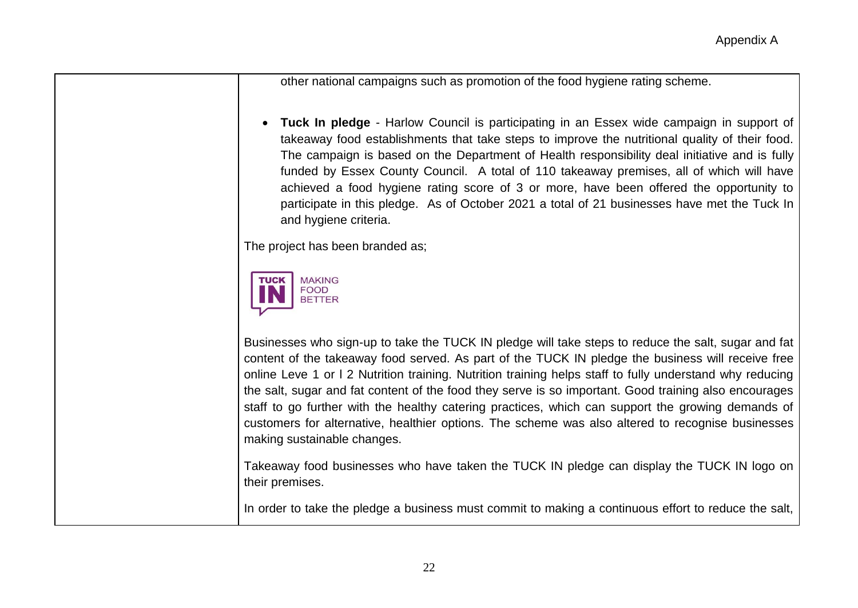other national campaigns such as promotion of the food hygiene rating scheme.

 **Tuck In pledge** - Harlow Council is participating in an Essex wide campaign in support of takeaway food establishments that take steps to improve the nutritional quality of their food. The campaign is based on the Department of Health responsibility deal initiative and is fully funded by Essex County Council. A total of 110 takeaway premises, all of which will have achieved a food hygiene rating score of 3 or more, have been offered the opportunity to participate in this pledge. As of October 2021 a total of 21 businesses have met the Tuck In and hygiene criteria.

The project has been branded as;



Businesses who sign-up to take the TUCK IN pledge will take steps to reduce the salt, sugar and fat content of the takeaway food served. As part of the TUCK IN pledge the business will receive free online Leve 1 or l 2 Nutrition training. Nutrition training helps staff to fully understand why reducing the salt, sugar and fat content of the food they serve is so important. Good training also encourages staff to go further with the healthy catering practices, which can support the growing demands of customers for alternative, healthier options. The scheme was also altered to recognise businesses making sustainable changes.

Takeaway food businesses who have taken the TUCK IN pledge can display the TUCK IN logo on their premises.

In order to take the pledge a business must commit to making a continuous effort to reduce the salt,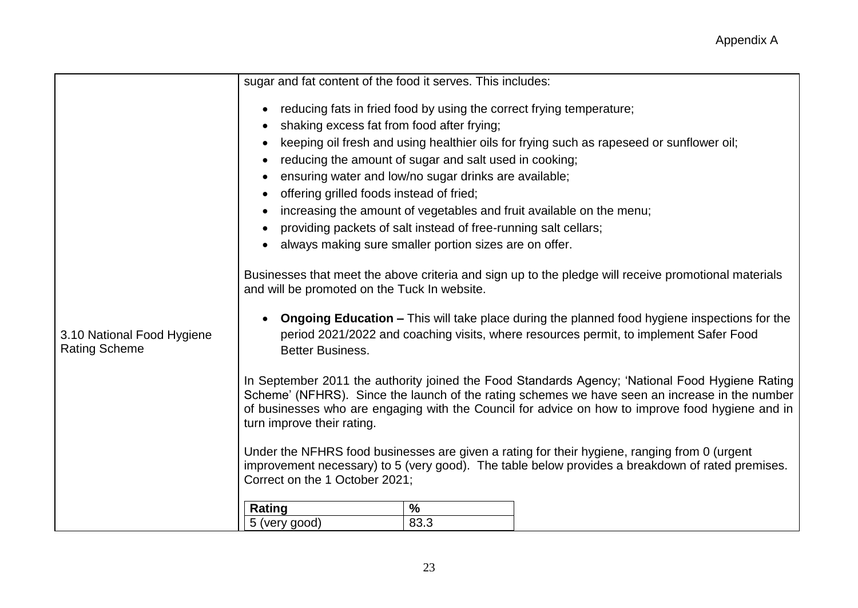|                                                    | sugar and fat content of the food it serves. This includes:                                                                                                                                                                                                                                                                         |
|----------------------------------------------------|-------------------------------------------------------------------------------------------------------------------------------------------------------------------------------------------------------------------------------------------------------------------------------------------------------------------------------------|
|                                                    | reducing fats in fried food by using the correct frying temperature;                                                                                                                                                                                                                                                                |
|                                                    | shaking excess fat from food after frying;                                                                                                                                                                                                                                                                                          |
|                                                    | keeping oil fresh and using healthier oils for frying such as rapeseed or sunflower oil;                                                                                                                                                                                                                                            |
|                                                    | reducing the amount of sugar and salt used in cooking;<br>$\bullet$                                                                                                                                                                                                                                                                 |
|                                                    | ensuring water and low/no sugar drinks are available;                                                                                                                                                                                                                                                                               |
|                                                    | offering grilled foods instead of fried;                                                                                                                                                                                                                                                                                            |
|                                                    | increasing the amount of vegetables and fruit available on the menu;                                                                                                                                                                                                                                                                |
|                                                    | providing packets of salt instead of free-running salt cellars;                                                                                                                                                                                                                                                                     |
|                                                    | always making sure smaller portion sizes are on offer.                                                                                                                                                                                                                                                                              |
|                                                    | Businesses that meet the above criteria and sign up to the pledge will receive promotional materials<br>and will be promoted on the Tuck In website.                                                                                                                                                                                |
| 3.10 National Food Hygiene<br><b>Rating Scheme</b> | <b>Ongoing Education –</b> This will take place during the planned food hygiene inspections for the<br>period 2021/2022 and coaching visits, where resources permit, to implement Safer Food<br><b>Better Business.</b>                                                                                                             |
|                                                    | In September 2011 the authority joined the Food Standards Agency; 'National Food Hygiene Rating<br>Scheme' (NFHRS). Since the launch of the rating schemes we have seen an increase in the number<br>of businesses who are engaging with the Council for advice on how to improve food hygiene and in<br>turn improve their rating. |
|                                                    | Under the NFHRS food businesses are given a rating for their hygiene, ranging from 0 (urgent<br>improvement necessary) to 5 (very good). The table below provides a breakdown of rated premises.<br>Correct on the 1 October 2021;                                                                                                  |
|                                                    | $\%$<br>Rating                                                                                                                                                                                                                                                                                                                      |
|                                                    | 83.3<br>5 (very good)                                                                                                                                                                                                                                                                                                               |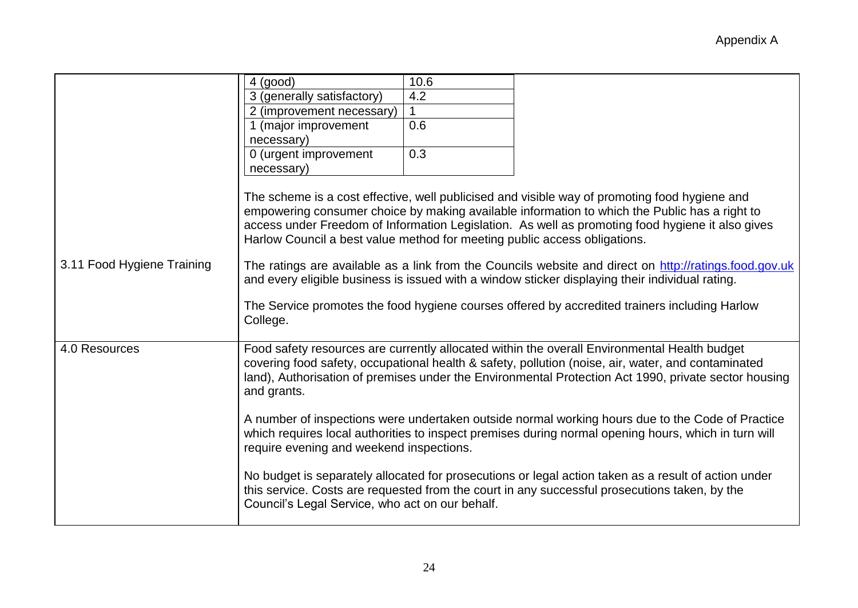|                            | 4 (good)                                                                                                                                                                                                                                                                                                                  | 10.6 |                                                                                                                                                                                                                                                                                                                                                                                                                                                                                                                 |
|----------------------------|---------------------------------------------------------------------------------------------------------------------------------------------------------------------------------------------------------------------------------------------------------------------------------------------------------------------------|------|-----------------------------------------------------------------------------------------------------------------------------------------------------------------------------------------------------------------------------------------------------------------------------------------------------------------------------------------------------------------------------------------------------------------------------------------------------------------------------------------------------------------|
|                            | 3 (generally satisfactory)                                                                                                                                                                                                                                                                                                | 4.2  |                                                                                                                                                                                                                                                                                                                                                                                                                                                                                                                 |
|                            | 2 (improvement necessary)                                                                                                                                                                                                                                                                                                 |      |                                                                                                                                                                                                                                                                                                                                                                                                                                                                                                                 |
|                            | 1 (major improvement                                                                                                                                                                                                                                                                                                      | 0.6  |                                                                                                                                                                                                                                                                                                                                                                                                                                                                                                                 |
|                            | necessary)                                                                                                                                                                                                                                                                                                                |      |                                                                                                                                                                                                                                                                                                                                                                                                                                                                                                                 |
|                            | 0 (urgent improvement                                                                                                                                                                                                                                                                                                     | 0.3  |                                                                                                                                                                                                                                                                                                                                                                                                                                                                                                                 |
|                            | necessary)                                                                                                                                                                                                                                                                                                                |      |                                                                                                                                                                                                                                                                                                                                                                                                                                                                                                                 |
| 3.11 Food Hygiene Training | Harlow Council a best value method for meeting public access obligations.                                                                                                                                                                                                                                                 |      | The scheme is a cost effective, well publicised and visible way of promoting food hygiene and<br>empowering consumer choice by making available information to which the Public has a right to<br>access under Freedom of Information Legislation. As well as promoting food hygiene it also gives<br>The ratings are available as a link from the Councils website and direct on http://ratings.food.gov.uk<br>and every eligible business is issued with a window sticker displaying their individual rating. |
|                            | College.                                                                                                                                                                                                                                                                                                                  |      | The Service promotes the food hygiene courses offered by accredited trainers including Harlow                                                                                                                                                                                                                                                                                                                                                                                                                   |
| 4.0 Resources              | Food safety resources are currently allocated within the overall Environmental Health budget<br>covering food safety, occupational health & safety, pollution (noise, air, water, and contaminated<br>land), Authorisation of premises under the Environmental Protection Act 1990, private sector housing<br>and grants. |      |                                                                                                                                                                                                                                                                                                                                                                                                                                                                                                                 |
|                            | A number of inspections were undertaken outside normal working hours due to the Code of Practice<br>which requires local authorities to inspect premises during normal opening hours, which in turn will<br>require evening and weekend inspections.                                                                      |      |                                                                                                                                                                                                                                                                                                                                                                                                                                                                                                                 |
|                            | Council's Legal Service, who act on our behalf.                                                                                                                                                                                                                                                                           |      | No budget is separately allocated for prosecutions or legal action taken as a result of action under<br>this service. Costs are requested from the court in any successful prosecutions taken, by the                                                                                                                                                                                                                                                                                                           |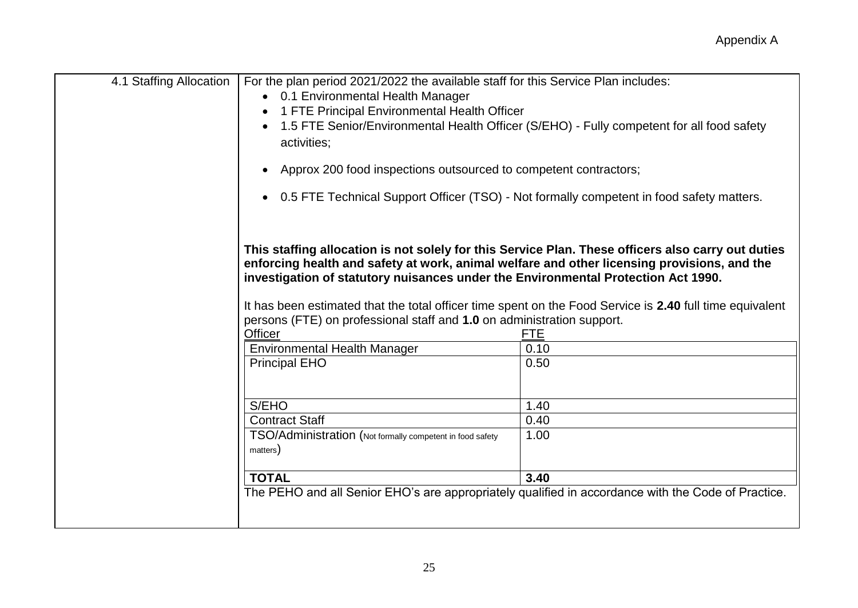| 4.1 Staffing Allocation | For the plan period 2021/2022 the available staff for this Service Plan includes:<br>• 0.1 Environmental Health Manager<br>1 FTE Principal Environmental Health Officer<br>activities;<br>Approx 200 food inspections outsourced to competent contractors;            | 1.5 FTE Senior/Environmental Health Officer (S/EHO) - Fully competent for all food safety<br>• 0.5 FTE Technical Support Officer (TSO) - Not formally competent in food safety matters.                                      |
|-------------------------|-----------------------------------------------------------------------------------------------------------------------------------------------------------------------------------------------------------------------------------------------------------------------|------------------------------------------------------------------------------------------------------------------------------------------------------------------------------------------------------------------------------|
|                         | enforcing health and safety at work, animal welfare and other licensing provisions, and the<br>investigation of statutory nuisances under the Environmental Protection Act 1990.<br>persons (FTE) on professional staff and 1.0 on administration support.<br>Officer | This staffing allocation is not solely for this Service Plan. These officers also carry out duties<br>It has been estimated that the total officer time spent on the Food Service is 2.40 full time equivalent<br><b>FTE</b> |
|                         | <b>Environmental Health Manager</b><br><b>Principal EHO</b>                                                                                                                                                                                                           | 0.10<br>0.50                                                                                                                                                                                                                 |
|                         | S/EHO                                                                                                                                                                                                                                                                 | 1.40                                                                                                                                                                                                                         |
|                         | <b>Contract Staff</b>                                                                                                                                                                                                                                                 | 0.40                                                                                                                                                                                                                         |
|                         | TSO/Administration (Not formally competent in food safety<br>matters)                                                                                                                                                                                                 | 1.00                                                                                                                                                                                                                         |
|                         | <b>TOTAL</b>                                                                                                                                                                                                                                                          | 3.40                                                                                                                                                                                                                         |
|                         |                                                                                                                                                                                                                                                                       | The PEHO and all Senior EHO's are appropriately qualified in accordance with the Code of Practice.                                                                                                                           |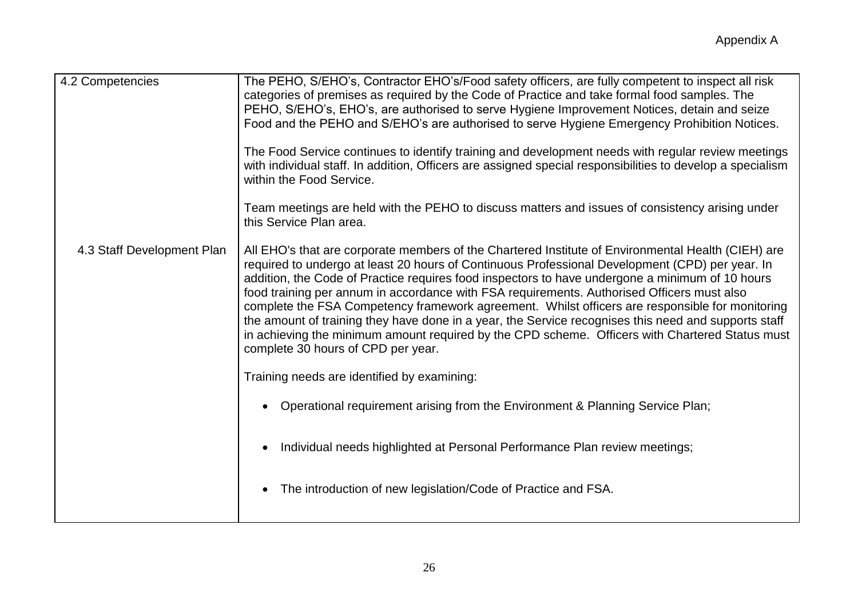| 4.2 Competencies           | The PEHO, S/EHO's, Contractor EHO's/Food safety officers, are fully competent to inspect all risk<br>categories of premises as required by the Code of Practice and take formal food samples. The<br>PEHO, S/EHO's, EHO's, are authorised to serve Hygiene Improvement Notices, detain and seize<br>Food and the PEHO and S/EHO's are authorised to serve Hygiene Emergency Prohibition Notices.<br>The Food Service continues to identify training and development needs with regular review meetings<br>with individual staff. In addition, Officers are assigned special responsibilities to develop a specialism<br>within the Food Service.<br>Team meetings are held with the PEHO to discuss matters and issues of consistency arising under<br>this Service Plan area. |
|----------------------------|--------------------------------------------------------------------------------------------------------------------------------------------------------------------------------------------------------------------------------------------------------------------------------------------------------------------------------------------------------------------------------------------------------------------------------------------------------------------------------------------------------------------------------------------------------------------------------------------------------------------------------------------------------------------------------------------------------------------------------------------------------------------------------|
| 4.3 Staff Development Plan | All EHO's that are corporate members of the Chartered Institute of Environmental Health (CIEH) are<br>required to undergo at least 20 hours of Continuous Professional Development (CPD) per year. In<br>addition, the Code of Practice requires food inspectors to have undergone a minimum of 10 hours<br>food training per annum in accordance with FSA requirements. Authorised Officers must also<br>complete the FSA Competency framework agreement. Whilst officers are responsible for monitoring<br>the amount of training they have done in a year, the Service recognises this need and supports staff<br>in achieving the minimum amount required by the CPD scheme. Officers with Chartered Status must<br>complete 30 hours of CPD per year.                     |
|                            | Training needs are identified by examining:                                                                                                                                                                                                                                                                                                                                                                                                                                                                                                                                                                                                                                                                                                                                    |
|                            | Operational requirement arising from the Environment & Planning Service Plan;                                                                                                                                                                                                                                                                                                                                                                                                                                                                                                                                                                                                                                                                                                  |
|                            | Individual needs highlighted at Personal Performance Plan review meetings;                                                                                                                                                                                                                                                                                                                                                                                                                                                                                                                                                                                                                                                                                                     |
|                            | The introduction of new legislation/Code of Practice and FSA.                                                                                                                                                                                                                                                                                                                                                                                                                                                                                                                                                                                                                                                                                                                  |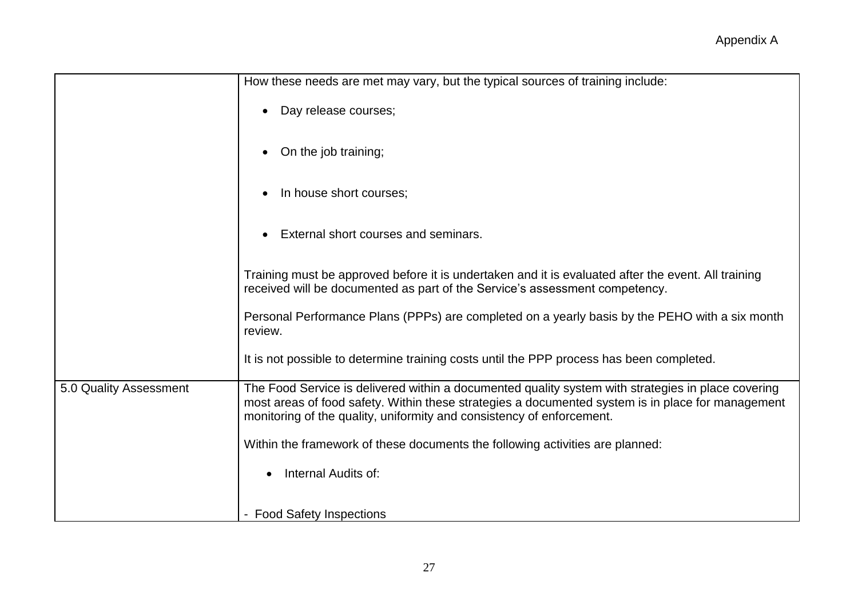|                        | How these needs are met may vary, but the typical sources of training include:                                                                                                                                                                                                   |
|------------------------|----------------------------------------------------------------------------------------------------------------------------------------------------------------------------------------------------------------------------------------------------------------------------------|
|                        | Day release courses;                                                                                                                                                                                                                                                             |
|                        | On the job training;                                                                                                                                                                                                                                                             |
|                        | In house short courses;                                                                                                                                                                                                                                                          |
|                        | External short courses and seminars.                                                                                                                                                                                                                                             |
|                        | Training must be approved before it is undertaken and it is evaluated after the event. All training<br>received will be documented as part of the Service's assessment competency.                                                                                               |
|                        | Personal Performance Plans (PPPs) are completed on a yearly basis by the PEHO with a six month<br>review.                                                                                                                                                                        |
|                        | It is not possible to determine training costs until the PPP process has been completed.                                                                                                                                                                                         |
| 5.0 Quality Assessment | The Food Service is delivered within a documented quality system with strategies in place covering<br>most areas of food safety. Within these strategies a documented system is in place for management<br>monitoring of the quality, uniformity and consistency of enforcement. |
|                        | Within the framework of these documents the following activities are planned:                                                                                                                                                                                                    |
|                        | Internal Audits of:                                                                                                                                                                                                                                                              |
|                        | - Food Safety Inspections                                                                                                                                                                                                                                                        |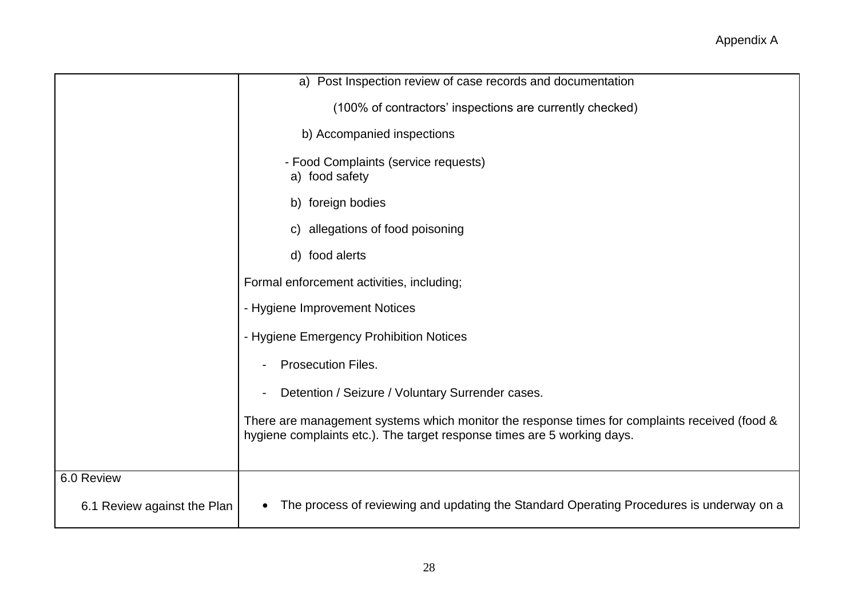|                             | a) Post Inspection review of case records and documentation                                                                                                              |
|-----------------------------|--------------------------------------------------------------------------------------------------------------------------------------------------------------------------|
|                             | (100% of contractors' inspections are currently checked)                                                                                                                 |
|                             | b) Accompanied inspections                                                                                                                                               |
|                             | - Food Complaints (service requests)<br>a) food safety                                                                                                                   |
|                             | b) foreign bodies                                                                                                                                                        |
|                             | c) allegations of food poisoning                                                                                                                                         |
|                             | d) food alerts                                                                                                                                                           |
|                             | Formal enforcement activities, including;                                                                                                                                |
|                             | - Hygiene Improvement Notices                                                                                                                                            |
|                             | - Hygiene Emergency Prohibition Notices                                                                                                                                  |
|                             | Prosecution Files.                                                                                                                                                       |
|                             | Detention / Seizure / Voluntary Surrender cases.                                                                                                                         |
|                             | There are management systems which monitor the response times for complaints received (food &<br>hygiene complaints etc.). The target response times are 5 working days. |
| 6.0 Review                  |                                                                                                                                                                          |
| 6.1 Review against the Plan | The process of reviewing and updating the Standard Operating Procedures is underway on a                                                                                 |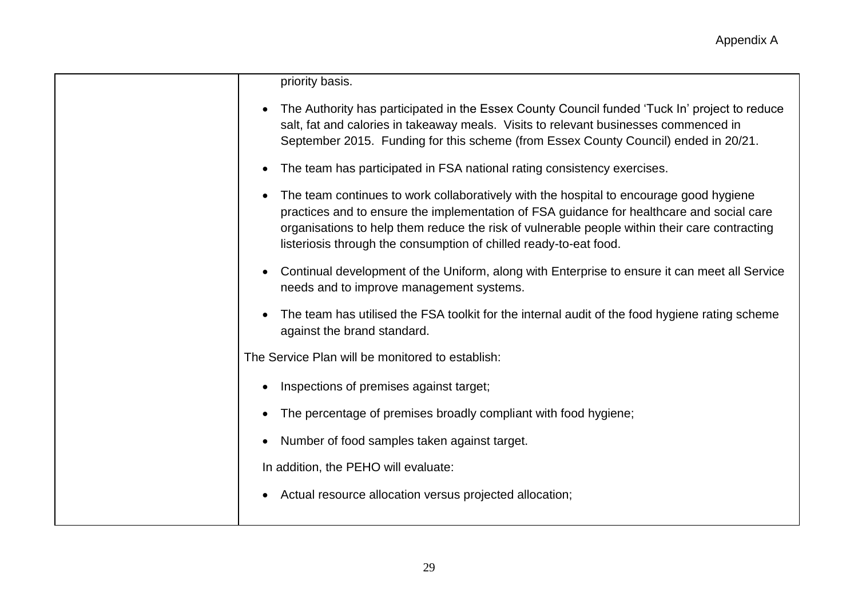| priority basis. |  |
|-----------------|--|

| • The Authority has participated in the Essex County Council funded 'Tuck In' project to reduce |
|-------------------------------------------------------------------------------------------------|
| salt, fat and calories in takeaway meals. Visits to relevant businesses commenced in            |
| September 2015. Funding for this scheme (from Essex County Council) ended in 20/21.             |

- The team has participated in FSA national rating consistency exercises.
- The team continues to work collaboratively with the hospital to encourage good hygiene practices and to ensure the implementation of FSA guidance for healthcare and social care organisations to help them reduce the risk of vulnerable people within their care contracting listeriosis through the consumption of chilled ready-to-eat food.
- Continual development of the Uniform, along with Enterprise to ensure it can meet all Service needs and to improve management systems.
- The team has utilised the FSA toolkit for the internal audit of the food hygiene rating scheme against the brand standard.

The Service Plan will be monitored to establish:

- Inspections of premises against target;
- The percentage of premises broadly compliant with food hygiene;
- Number of food samples taken against target.

In addition, the PEHO will evaluate:

Actual resource allocation versus projected allocation;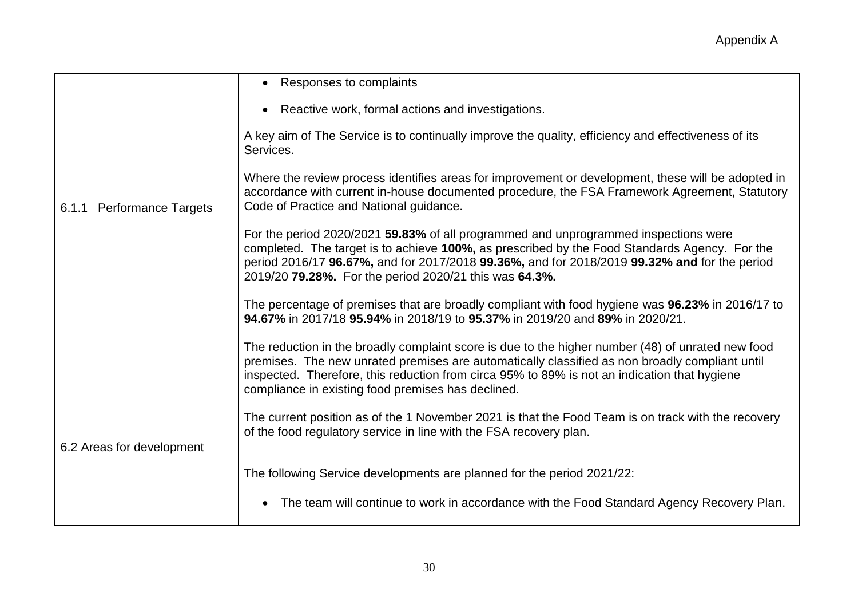|                                     | • Responses to complaints                                                                                                                                                                                                                                                                                                                                 |
|-------------------------------------|-----------------------------------------------------------------------------------------------------------------------------------------------------------------------------------------------------------------------------------------------------------------------------------------------------------------------------------------------------------|
|                                     | Reactive work, formal actions and investigations.                                                                                                                                                                                                                                                                                                         |
|                                     | A key aim of The Service is to continually improve the quality, efficiency and effectiveness of its<br>Services.                                                                                                                                                                                                                                          |
| <b>Performance Targets</b><br>6.1.1 | Where the review process identifies areas for improvement or development, these will be adopted in<br>accordance with current in-house documented procedure, the FSA Framework Agreement, Statutory<br>Code of Practice and National guidance.                                                                                                            |
|                                     | For the period 2020/2021 59.83% of all programmed and unprogrammed inspections were<br>completed. The target is to achieve 100%, as prescribed by the Food Standards Agency. For the<br>period 2016/17 96.67%, and for 2017/2018 99.36%, and for 2018/2019 99.32% and for the period<br>2019/20 79.28%. For the period 2020/21 this was 64.3%.            |
|                                     | The percentage of premises that are broadly compliant with food hygiene was 96.23% in 2016/17 to<br>94.67% in 2017/18 95.94% in 2018/19 to 95.37% in 2019/20 and 89% in 2020/21.                                                                                                                                                                          |
|                                     | The reduction in the broadly complaint score is due to the higher number (48) of unrated new food<br>premises. The new unrated premises are automatically classified as non broadly compliant until<br>inspected. Therefore, this reduction from circa 95% to 89% is not an indication that hygiene<br>compliance in existing food premises has declined. |
| 6.2 Areas for development           | The current position as of the 1 November 2021 is that the Food Team is on track with the recovery<br>of the food regulatory service in line with the FSA recovery plan.                                                                                                                                                                                  |
|                                     | The following Service developments are planned for the period 2021/22:                                                                                                                                                                                                                                                                                    |
|                                     | The team will continue to work in accordance with the Food Standard Agency Recovery Plan.                                                                                                                                                                                                                                                                 |